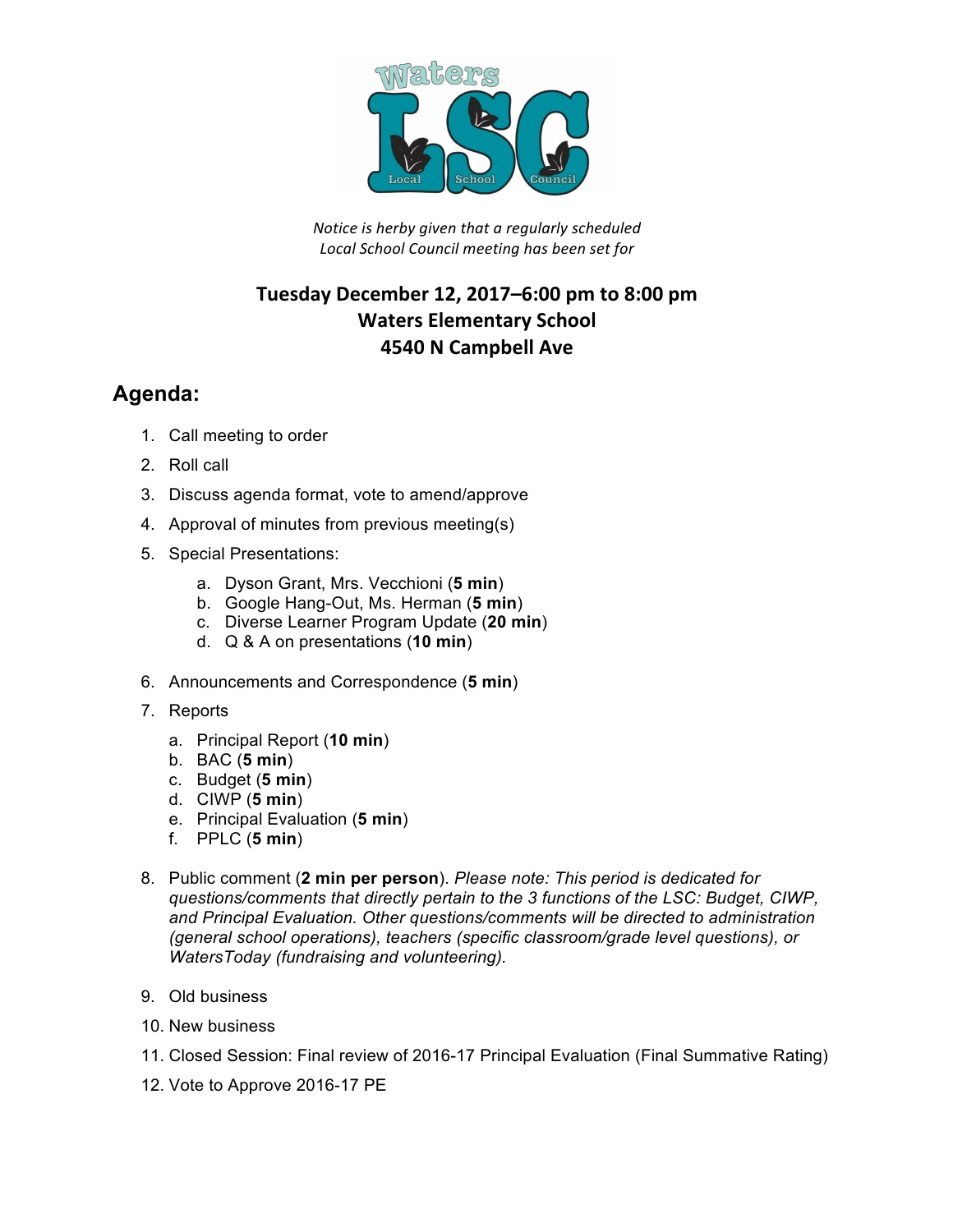

*Notice is herby given that a regularly scheduled Local School Council meeting has been set for*

## **Tuesday December 12, 2017–6:00 pm to 8:00 pm Waters Elementary School 4540 N Campbell Ave**

## **Agenda:**

- 1. Call meeting to order
- 2. Roll call
- 3. Discuss agenda format, vote to amend/approve
- 4. Approval of minutes from previous meeting(s)
- 5. Special Presentations:
	- a. Dyson Grant, Mrs. Vecchioni (**5 min**)
	- b. Google Hang-Out, Ms. Herman (**5 min**)
	- c. Diverse Learner Program Update (**20 min**)
	- d. Q & A on presentations (**10 min**)
- 6. Announcements and Correspondence (**5 min**)
- 7. Reports
	- a. Principal Report (**10 min**)
	- b. BAC (**5 min**)
	- c. Budget (**5 min**)
	- d. CIWP (**5 min**)
	- e. Principal Evaluation (**5 min**)
	- f. PPLC (**5 min**)
- 8. Public comment (**2 min per person**). *Please note: This period is dedicated for questions/comments that directly pertain to the 3 functions of the LSC: Budget, CIWP, and Principal Evaluation. Other questions/comments will be directed to administration (general school operations), teachers (specific classroom/grade level questions), or WatersToday (fundraising and volunteering).*
- 9. Old business
- 10. New business
- 11. Closed Session: Final review of 2016-17 Principal Evaluation (Final Summative Rating)
- 12. Vote to Approve 2016-17 PE